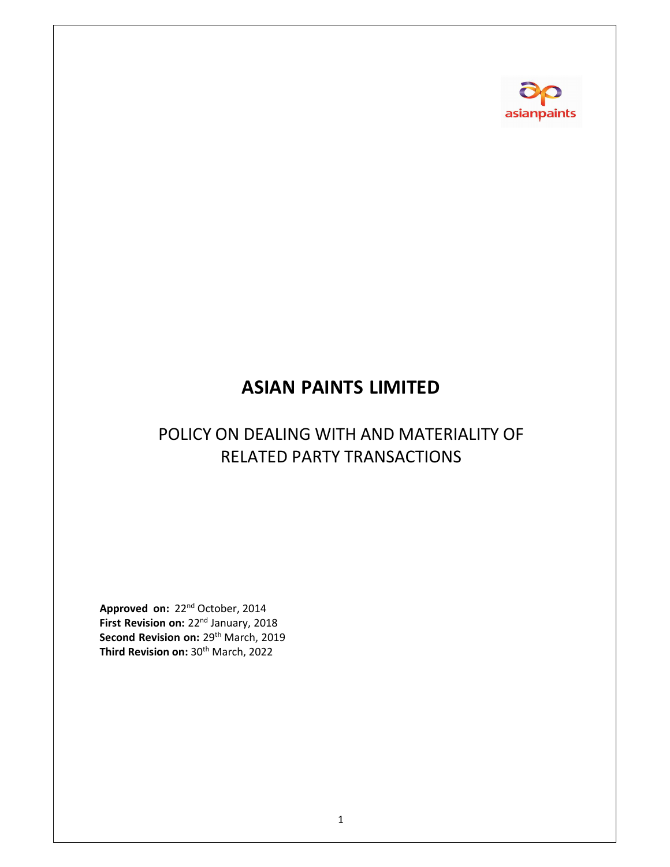

# **ASIAN PAINTS LIMITED**

# POLICY ON DEALING WITH AND MATERIALITY OF RELATED PARTY TRANSACTIONS

**Approved on:** 22nd October, 2014 **First Revision on:** 22nd January, 2018 **Second Revision on:** 29th March, 2019 **Third Revision on:** 30th March, 2022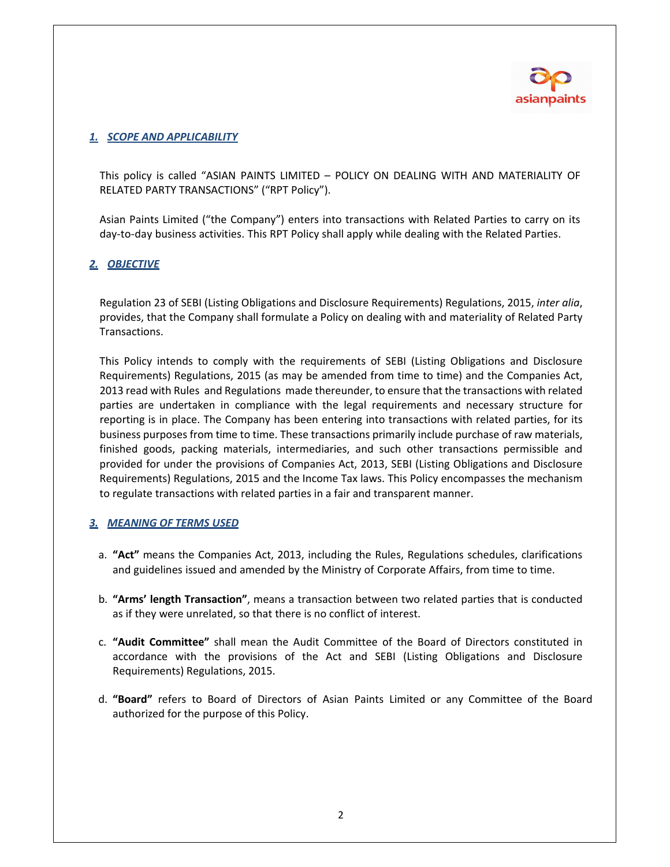

## *1. SCOPE AND APPLICABILITY*

This policy is called "ASIAN PAINTS LIMITED – POLICY ON DEALING WITH AND MATERIALITY OF RELATED PARTY TRANSACTIONS" ("RPT Policy").

Asian Paints Limited ("the Company") enters into transactions with Related Parties to carry on its day-to-day business activities. This RPT Policy shall apply while dealing with the Related Parties.

# *2. OBJECTIVE*

Regulation 23 of SEBI (Listing Obligations and Disclosure Requirements) Regulations, 2015, *inter alia*, provides, that the Company shall formulate a Policy on dealing with and materiality of Related Party Transactions.

This Policy intends to comply with the requirements of SEBI (Listing Obligations and Disclosure Requirements) Regulations, 2015 (as may be amended from time to time) and the Companies Act, 2013 read with Rules and Regulations made thereunder, to ensure that the transactions with related parties are undertaken in compliance with the legal requirements and necessary structure for reporting is in place. The Company has been entering into transactions with related parties, for its business purposes from time to time. These transactions primarily include purchase of raw materials, finished goods, packing materials, intermediaries, and such other transactions permissible and provided for under the provisions of Companies Act, 2013, SEBI (Listing Obligations and Disclosure Requirements) Regulations, 2015 and the Income Tax laws. This Policy encompasses the mechanism to regulate transactions with related parties in a fair and transparent manner.

### *3. MEANING OF TERMS USED*

- a. **"Act"** means the Companies Act, 2013, including the Rules, Regulations schedules, clarifications and guidelines issued and amended by the Ministry of Corporate Affairs, from time to time.
- b. **"Arms' length Transaction"**, means a transaction between two related parties that is conducted as if they were unrelated, so that there is no conflict of interest.
- c. **"Audit Committee"** shall mean the Audit Committee of the Board of Directors constituted in accordance with the provisions of the Act and SEBI (Listing Obligations and Disclosure Requirements) Regulations, 2015.
- d. **"Board"** refers to Board of Directors of Asian Paints Limited or any Committee of the Board authorized for the purpose of this Policy.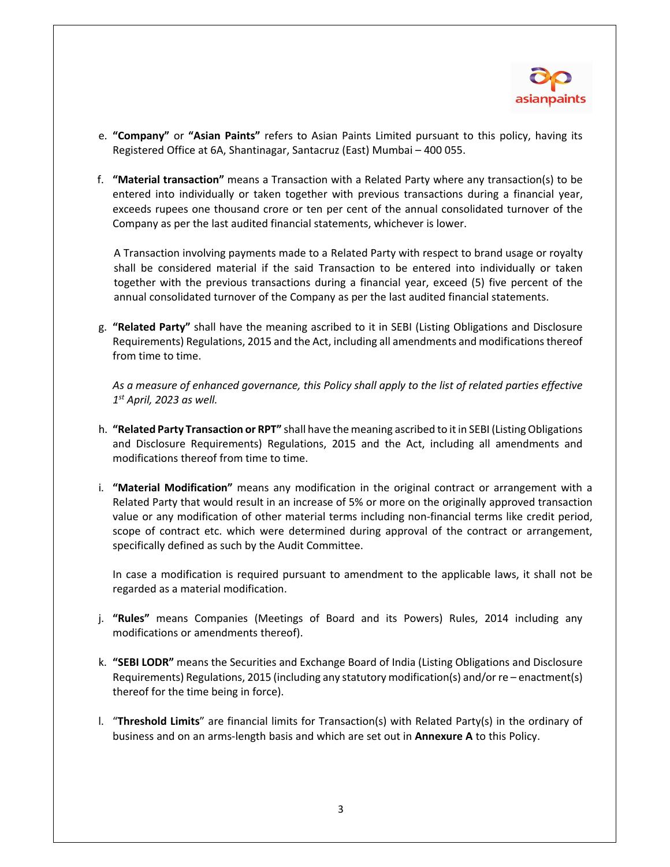

- e. **"Company"** or **"Asian Paints"** refers to Asian Paints Limited pursuant to this policy, having its Registered Office at 6A, Shantinagar, Santacruz (East) Mumbai – 400 055.
- f. **"Material transaction"** means a Transaction with a Related Party where any transaction(s) to be entered into individually or taken together with previous transactions during a financial year, exceeds rupees one thousand crore or ten per cent of the annual consolidated turnover of the Company as per the last audited financial statements, whichever is lower.

A Transaction involving payments made to a Related Party with respect to brand usage or royalty shall be considered material if the said Transaction to be entered into individually or taken together with the previous transactions during a financial year, exceed (5) five percent of the annual consolidated turnover of the Company as per the last audited financial statements.

g. **"Related Party"** shall have the meaning ascribed to it in SEBI (Listing Obligations and Disclosure Requirements) Regulations, 2015 and the Act, including all amendments and modifications thereof from time to time.

*As a measure of enhanced governance, this Policy shall apply to the list of related parties effective 1st April, 2023 as well.* 

- h. **"Related Party Transaction or RPT"** shall have the meaning ascribed to itin SEBI (ListingObligations and Disclosure Requirements) Regulations, 2015 and the Act, including all amendments and modifications thereof from time to time.
- i. **"Material Modification"** means any modification in the original contract or arrangement with a Related Party that would result in an increase of 5% or more on the originally approved transaction value or any modification of other material terms including non-financial terms like credit period, scope of contract etc. which were determined during approval of the contract or arrangement, specifically defined as such by the Audit Committee.

In case a modification is required pursuant to amendment to the applicable laws, it shall not be regarded as a material modification.

- j. **"Rules"** means Companies (Meetings of Board and its Powers) Rules, 2014 including any modifications or amendments thereof).
- k. **"SEBI LODR"** means the Securities and Exchange Board of India (Listing Obligations and Disclosure Requirements) Regulations, 2015 (including any statutory modification(s) and/or re – enactment(s) thereof for the time being in force).
- l. "**Threshold Limits**" are financial limits for Transaction(s) with Related Party(s) in the ordinary of business and on an arms‐length basis and which are set out in **Annexure A** to this Policy.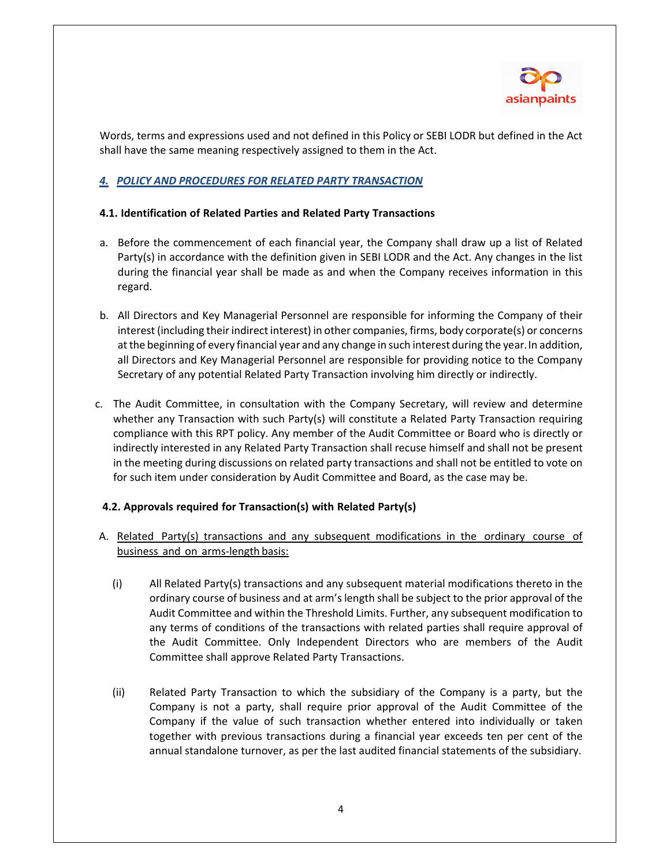

Words, terms and expressions used and not defined in this Policy or SEBI LODR but defined in the Act shall have the same meaning respectively assigned to them in the Act.

# *4. POLICY AND PROCEDURES FOR RELATED PARTY TRANSACTION*

### **4.1. Identification of Related Parties and Related Party Transactions**

- a. Before the commencement of each financial year, the Company shall draw up a list of Related Party(s) in accordance with the definition given in SEBI LODR and the Act. Any changes in the list during the financial year shall be made as and when the Company receives information in this regard.
- b. All Directors and Key Managerial Personnel are responsible for informing the Company of their interest (including their indirect interest) in other companies, firms, body corporate(s) or concerns at the beginning of every financial year and any change in such interest during the year. In addition, all Directors and Key Managerial Personnel are responsible for providing notice to the Company Secretary of any potential Related Party Transaction involving him directly or indirectly.
- c. The Audit Committee, in consultation with the Company Secretary, will review and determine whether any Transaction with such Party(s) will constitute a Related Party Transaction requiring compliance with this RPT policy. Any member of the Audit Committee or Board who is directly or indirectly interested in any Related Party Transaction shall recuse himself and shall not be present in the meeting during discussions on related party transactions and shall not be entitled to vote on for such item under consideration by Audit Committee and Board, as the case may be.

### **4.2. Approvals required for Transaction(s) with Related Party(s)**

- A. Related Party(s) transactions and any subsequent modifications in the ordinary course of business and on arms-length basis:
	- (i) All Related Party(s) transactions and any subsequent material modifications thereto in the ordinary course of business and at arm'slength shall be subject to the prior approval of the Audit Committee and within the Threshold Limits. Further, any subsequent modification to any terms of conditions of the transactions with related parties shall require approval of the Audit Committee. Only Independent Directors who are members of the Audit Committee shall approve Related Party Transactions.
	- (ii) Related Party Transaction to which the subsidiary of the Company is a party, but the Company is not a party, shall require prior approval of the Audit Committee of the Company if the value of such transaction whether entered into individually or taken together with previous transactions during a financial year exceeds ten per cent of the annual standalone turnover, as per the last audited financial statements of the subsidiary.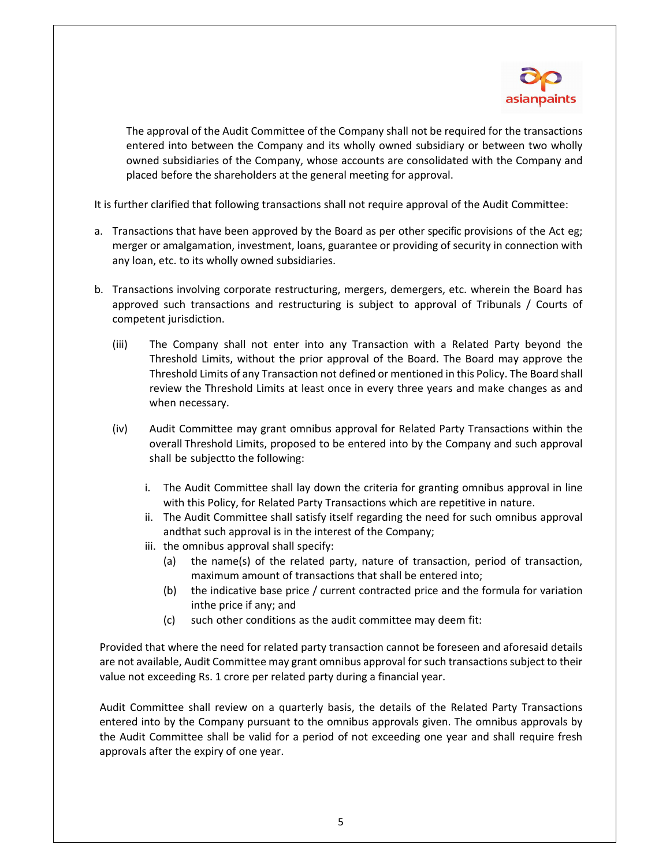

The approval of the Audit Committee of the Company shall not be required for the transactions entered into between the Company and its wholly owned subsidiary or between two wholly owned subsidiaries of the Company, whose accounts are consolidated with the Company and placed before the shareholders at the general meeting for approval.

It is further clarified that following transactions shall not require approval of the Audit Committee:

- a. Transactions that have been approved by the Board as per other specific provisions of the Act eg; merger or amalgamation, investment, loans, guarantee or providing of security in connection with any loan, etc. to its wholly owned subsidiaries.
- b. Transactions involving corporate restructuring, mergers, demergers, etc. wherein the Board has approved such transactions and restructuring is subject to approval of Tribunals / Courts of competent jurisdiction.
	- (iii) The Company shall not enter into any Transaction with a Related Party beyond the Threshold Limits, without the prior approval of the Board. The Board may approve the Threshold Limits of any Transaction not defined or mentioned in this Policy. The Board shall review the Threshold Limits at least once in every three years and make changes as and when necessary.
	- (iv) Audit Committee may grant omnibus approval for Related Party Transactions within the overall Threshold Limits, proposed to be entered into by the Company and such approval shall be subjectto the following:
		- i. The Audit Committee shall lay down the criteria for granting omnibus approval in line with this Policy, for Related Party Transactions which are repetitive in nature.
		- ii. The Audit Committee shall satisfy itself regarding the need for such omnibus approval andthat such approval is in the interest of the Company;
		- iii. the omnibus approval shall specify:
			- (a) the name(s) of the related party, nature of transaction, period of transaction, maximum amount of transactions that shall be entered into;
			- (b) the indicative base price / current contracted price and the formula for variation inthe price if any; and
			- (c) such other conditions as the audit committee may deem fit:

Provided that where the need for related party transaction cannot be foreseen and aforesaid details are not available, Audit Committee may grant omnibus approval for such transactions subject to their value not exceeding Rs. 1 crore per related party during a financial year.

Audit Committee shall review on a quarterly basis, the details of the Related Party Transactions entered into by the Company pursuant to the omnibus approvals given. The omnibus approvals by the Audit Committee shall be valid for a period of not exceeding one year and shall require fresh approvals after the expiry of one year.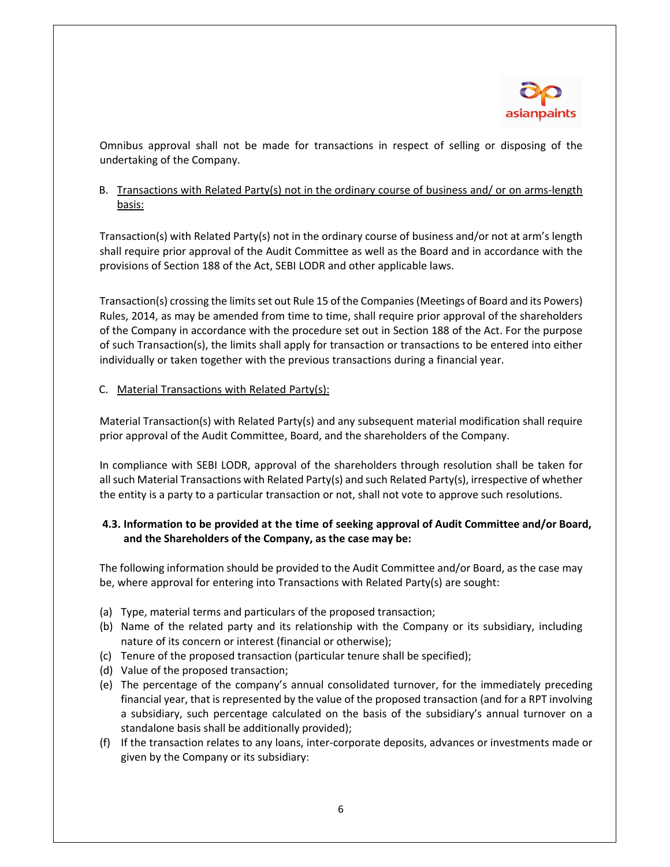

Omnibus approval shall not be made for transactions in respect of selling or disposing of the undertaking of the Company.

# B. Transactions with Related Party(s) not in the ordinary course of business and/ or on arms‐length basis:

Transaction(s) with Related Party(s) not in the ordinary course of business and/or not at arm's length shall require prior approval of the Audit Committee as well as the Board and in accordance with the provisions of Section 188 of the Act, SEBI LODR and other applicable laws.

Transaction(s) crossing the limitsset out Rule 15 of the Companies(Meetings of Board and its Powers) Rules, 2014, as may be amended from time to time, shall require prior approval of the shareholders of the Company in accordance with the procedure set out in Section 188 of the Act. For the purpose of such Transaction(s), the limits shall apply for transaction or transactions to be entered into either individually or taken together with the previous transactions during a financial year.

### C. Material Transactions with Related Party(s):

Material Transaction(s) with Related Party(s) and any subsequent material modification shall require prior approval of the Audit Committee, Board, and the shareholders of the Company.

In compliance with SEBI LODR, approval of the shareholders through resolution shall be taken for all such Material Transactions with Related Party(s) and such Related Party(s), irrespective of whether the entity is a party to a particular transaction or not, shall not vote to approve such resolutions.

# **4.3. Information to be provided at the time of seeking approval of Audit Committee and/or Board, and the Shareholders of the Company, as the case may be:**

The following information should be provided to the Audit Committee and/or Board, as the case may be, where approval for entering into Transactions with Related Party(s) are sought:

- (a) Type, material terms and particulars of the proposed transaction;
- (b) Name of the related party and its relationship with the Company or its subsidiary, including nature of its concern or interest (financial or otherwise);
- (c) Tenure of the proposed transaction (particular tenure shall be specified);
- (d) Value of the proposed transaction;
- (e) The percentage of the company's annual consolidated turnover, for the immediately preceding financial year, that is represented by the value of the proposed transaction (and for a RPT involving a subsidiary, such percentage calculated on the basis of the subsidiary's annual turnover on a standalone basis shall be additionally provided);
- (f) If the transaction relates to any loans, inter‐corporate deposits, advances or investments made or given by the Company or its subsidiary: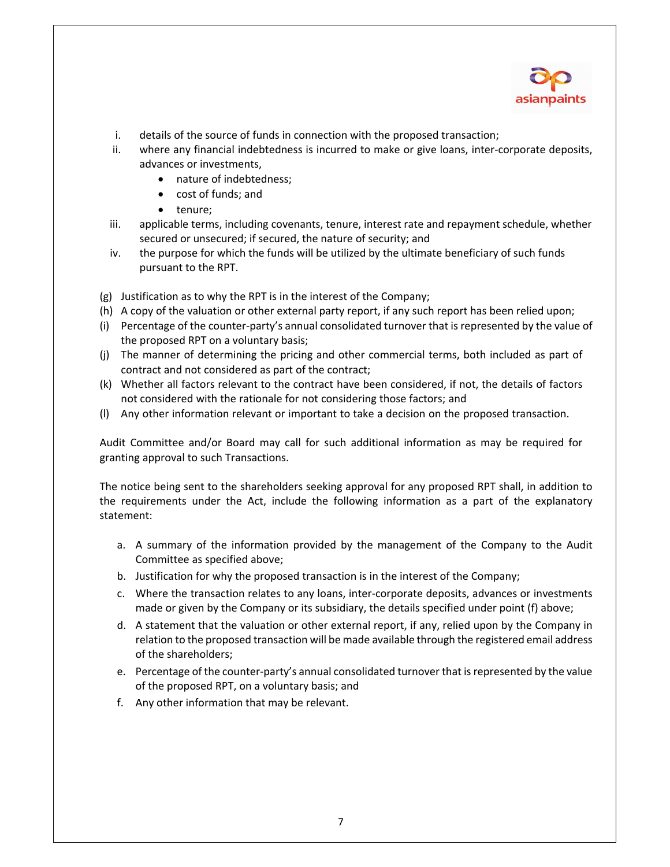

- i. details of the source of funds in connection with the proposed transaction;
- ii. where any financial indebtedness is incurred to make or give loans, inter-corporate deposits, advances or investments,
	- nature of indebtedness;
	- cost of funds; and
	- tenure;
- iii. applicable terms, including covenants, tenure, interest rate and repayment schedule, whether secured or unsecured; if secured, the nature of security; and
- iv. the purpose for which the funds will be utilized by the ultimate beneficiary of such funds pursuant to the RPT.
- (g) Justification as to why the RPT is in the interest of the Company;
- (h) A copy of the valuation or other external party report, if any such report has been relied upon;
- (i) Percentage of the counter‐party's annual consolidated turnover that is represented by the value of the proposed RPT on a voluntary basis;
- (j) The manner of determining the pricing and other commercial terms, both included as part of contract and not considered as part of the contract;
- (k) Whether all factors relevant to the contract have been considered, if not, the details of factors not considered with the rationale for not considering those factors; and
- (l) Any other information relevant or important to take a decision on the proposed transaction.

Audit Committee and/or Board may call for such additional information as may be required for granting approval to such Transactions.

The notice being sent to the shareholders seeking approval for any proposed RPT shall, in addition to the requirements under the Act, include the following information as a part of the explanatory statement:

- a. A summary of the information provided by the management of the Company to the Audit Committee as specified above;
- b. Justification for why the proposed transaction is in the interest of the Company;
- c. Where the transaction relates to any loans, inter‐corporate deposits, advances or investments made or given by the Company or its subsidiary, the details specified under point (f) above;
- d. A statement that the valuation or other external report, if any, relied upon by the Company in relation to the proposed transaction will be made available through the registered email address of the shareholders;
- e. Percentage of the counter-party's annual consolidated turnover that is represented by the value of the proposed RPT, on a voluntary basis; and
- f. Any other information that may be relevant.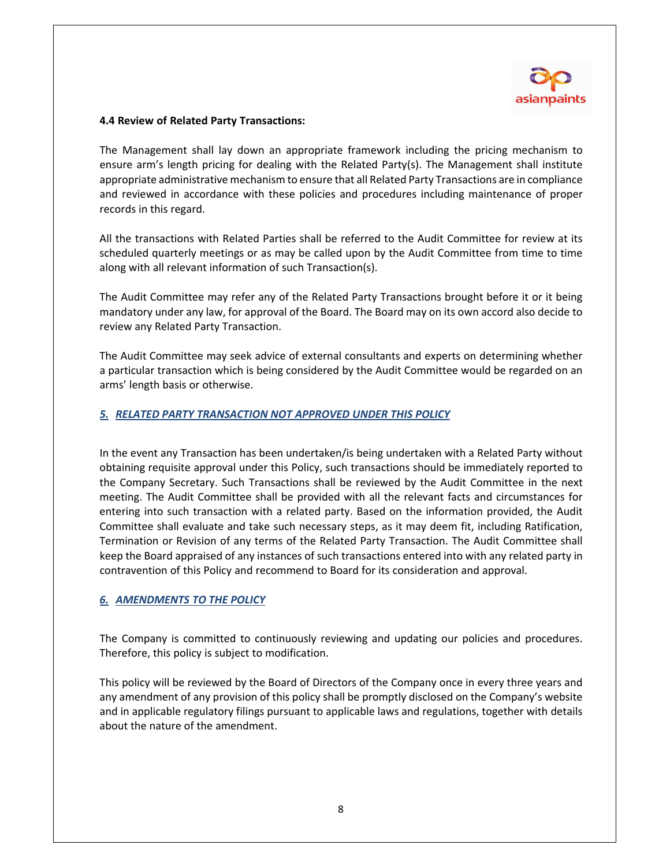

#### **4.4 Review of Related Party Transactions:**

The Management shall lay down an appropriate framework including the pricing mechanism to ensure arm's length pricing for dealing with the Related Party(s). The Management shall institute appropriate administrative mechanism to ensure that all Related Party Transactions are in compliance and reviewed in accordance with these policies and procedures including maintenance of proper records in this regard.

All the transactions with Related Parties shall be referred to the Audit Committee for review at its scheduled quarterly meetings or as may be called upon by the Audit Committee from time to time along with all relevant information of such Transaction(s).

The Audit Committee may refer any of the Related Party Transactions brought before it or it being mandatory under any law, for approval of the Board. The Board may on its own accord also decide to review any Related Party Transaction.

The Audit Committee may seek advice of external consultants and experts on determining whether a particular transaction which is being considered by the Audit Committee would be regarded on an arms' length basis or otherwise.

#### *5. RELATED PARTY TRANSACTION NOT APPROVED UNDER THIS POLICY*

In the event any Transaction has been undertaken/is being undertaken with a Related Party without obtaining requisite approval under this Policy, such transactions should be immediately reported to the Company Secretary. Such Transactions shall be reviewed by the Audit Committee in the next meeting. The Audit Committee shall be provided with all the relevant facts and circumstances for entering into such transaction with a related party. Based on the information provided, the Audit Committee shall evaluate and take such necessary steps, as it may deem fit, including Ratification, Termination or Revision of any terms of the Related Party Transaction. The Audit Committee shall keep the Board appraised of any instances of such transactions entered into with any related party in contravention of this Policy and recommend to Board for its consideration and approval.

### *6. AMENDMENTS TO THE POLICY*

The Company is committed to continuously reviewing and updating our policies and procedures. Therefore, this policy is subject to modification.

This policy will be reviewed by the Board of Directors of the Company once in every three years and any amendment of any provision of this policy shall be promptly disclosed on the Company's website and in applicable regulatory filings pursuant to applicable laws and regulations, together with details about the nature of the amendment.